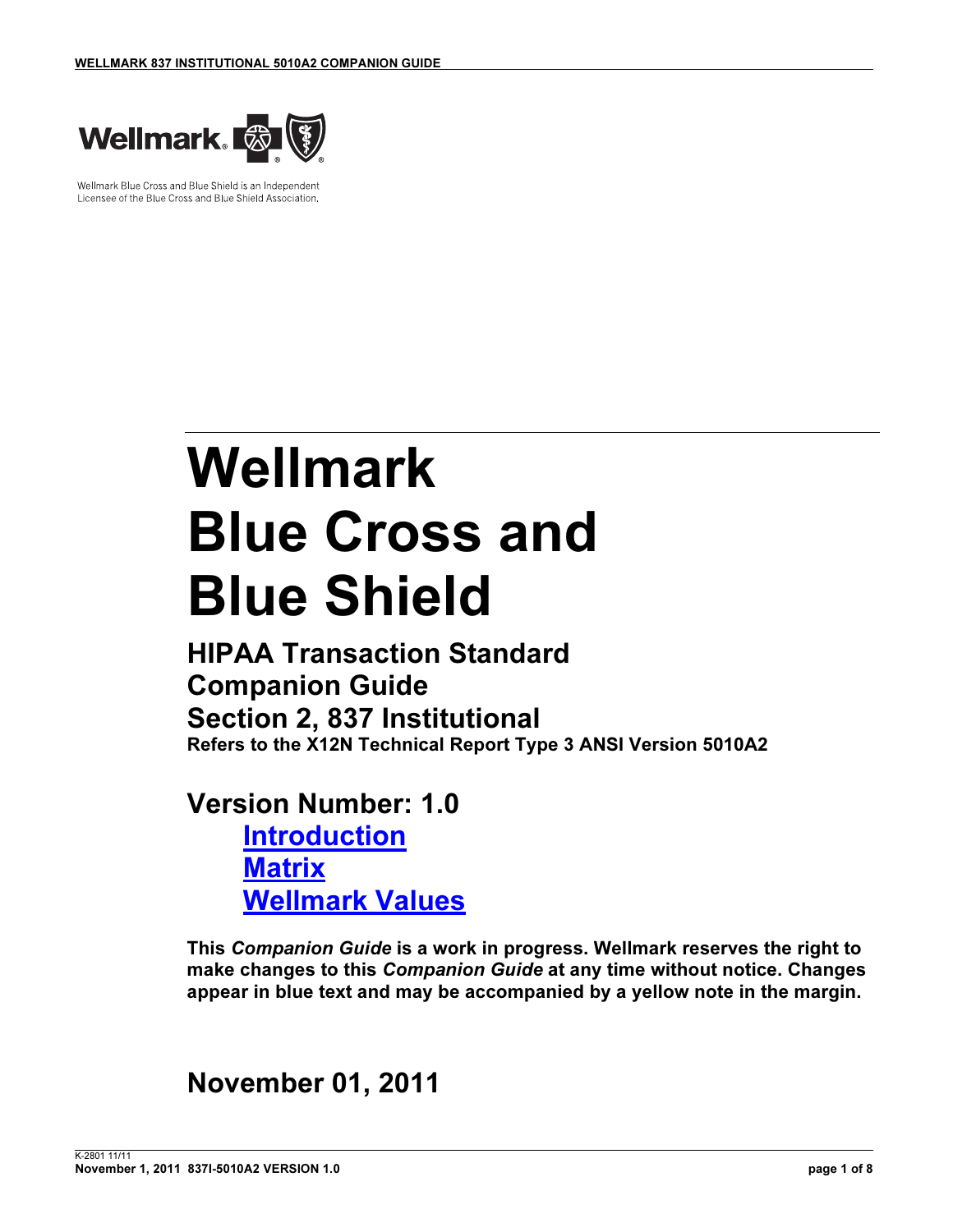

Wellmark Blue Cross and Blue Shield is an Independent Licensee of the Blue Cross and Blue Shield Association.

# Wellmark Blue Cross and Blue Shield

HIPAA Transaction Standard Companion Guide Section 2, 837 Institutional Refers to the X12N Technical Report Type 3 ANSI Version 5010A2

## Version Number: 1.0

Introduction **Matrix** Wellmark Values

This Companion Guide is a work in progress. Wellmark reserves the right to make changes to this Companion Guide at any time without notice. Changes appear in blue text and may be accompanied by a yellow note in the margin.

## November 01, 2011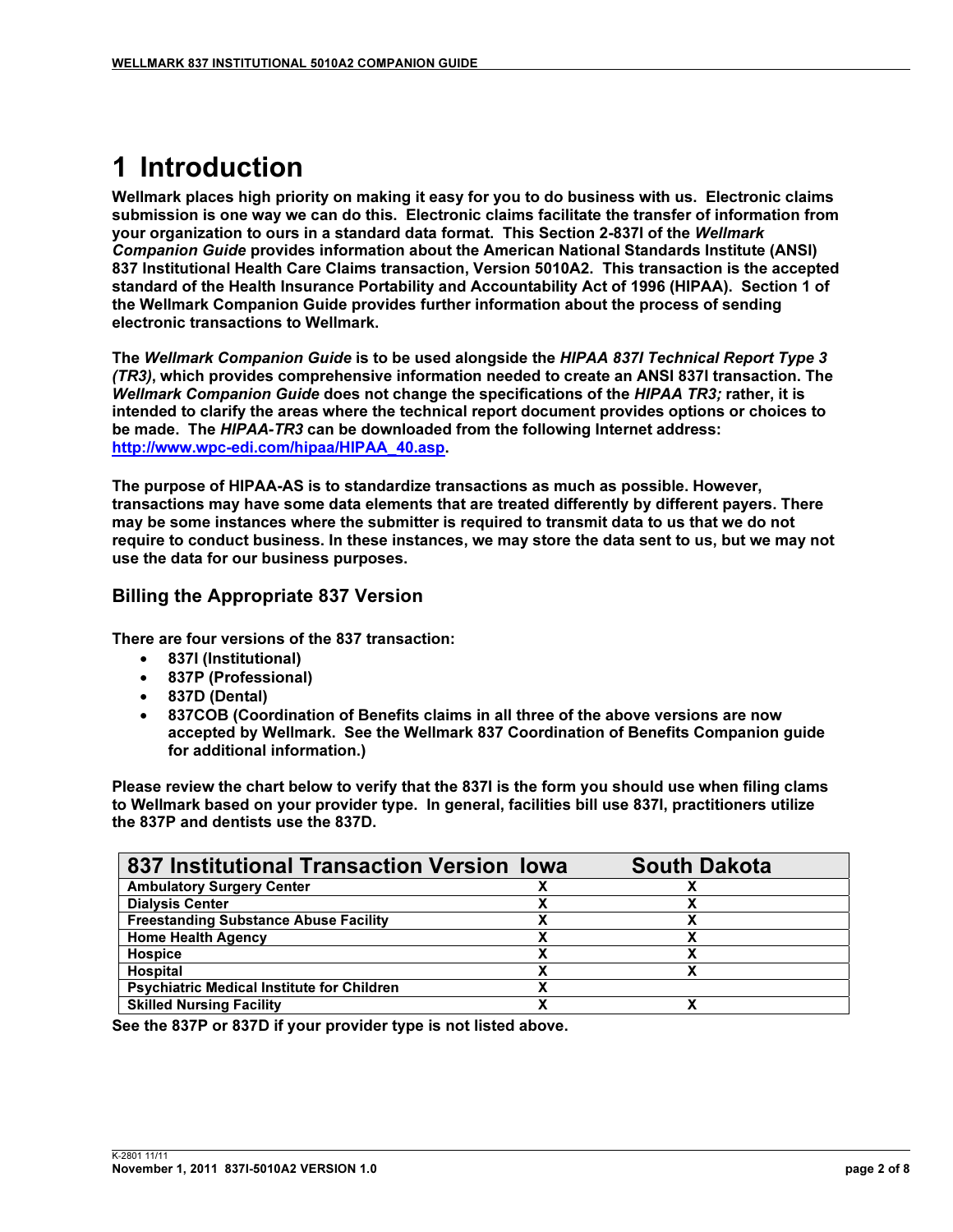## 1 Introduction

Wellmark places high priority on making it easy for you to do business with us. Electronic claims submission is one way we can do this. Electronic claims facilitate the transfer of information from your organization to ours in a standard data format. This Section 2-837I of the Wellmark Companion Guide provides information about the American National Standards Institute (ANSI) 837 Institutional Health Care Claims transaction, Version 5010A2. This transaction is the accepted standard of the Health Insurance Portability and Accountability Act of 1996 (HIPAA). Section 1 of the Wellmark Companion Guide provides further information about the process of sending electronic transactions to Wellmark.

The Wellmark Companion Guide is to be used alongside the HIPAA 837I Technical Report Type 3 (TR3), which provides comprehensive information needed to create an ANSI 837I transaction. The Wellmark Companion Guide does not change the specifications of the HIPAA TR3; rather, it is intended to clarify the areas where the technical report document provides options or choices to be made. The HIPAA-TR3 can be downloaded from the following Internet address: http://www.wpc-edi.com/hipaa/HIPAA\_40.asp.

The purpose of HIPAA-AS is to standardize transactions as much as possible. However, transactions may have some data elements that are treated differently by different payers. There may be some instances where the submitter is required to transmit data to us that we do not require to conduct business. In these instances, we may store the data sent to us, but we may not use the data for our business purposes.

#### Billing the Appropriate 837 Version

There are four versions of the 837 transaction:

- 837I (Institutional)
- 837P (Professional)
- 837D (Dental)
- 837COB (Coordination of Benefits claims in all three of the above versions are now accepted by Wellmark. See the Wellmark 837 Coordination of Benefits Companion guide for additional information.)

Please review the chart below to verify that the 837I is the form you should use when filing clams to Wellmark based on your provider type. In general, facilities bill use 837I, practitioners utilize the 837P and dentists use the 837D.

| 837 Institutional Transaction Version Iowa        | <b>South Dakota</b> |  |
|---------------------------------------------------|---------------------|--|
| <b>Ambulatory Surgery Center</b>                  |                     |  |
| <b>Dialysis Center</b>                            |                     |  |
| <b>Freestanding Substance Abuse Facility</b>      |                     |  |
| <b>Home Health Agency</b>                         |                     |  |
| <b>Hospice</b>                                    |                     |  |
| Hospital                                          |                     |  |
| <b>Psychiatric Medical Institute for Children</b> |                     |  |
| <b>Skilled Nursing Facility</b>                   |                     |  |

See the 837P or 837D if your provider type is not listed above.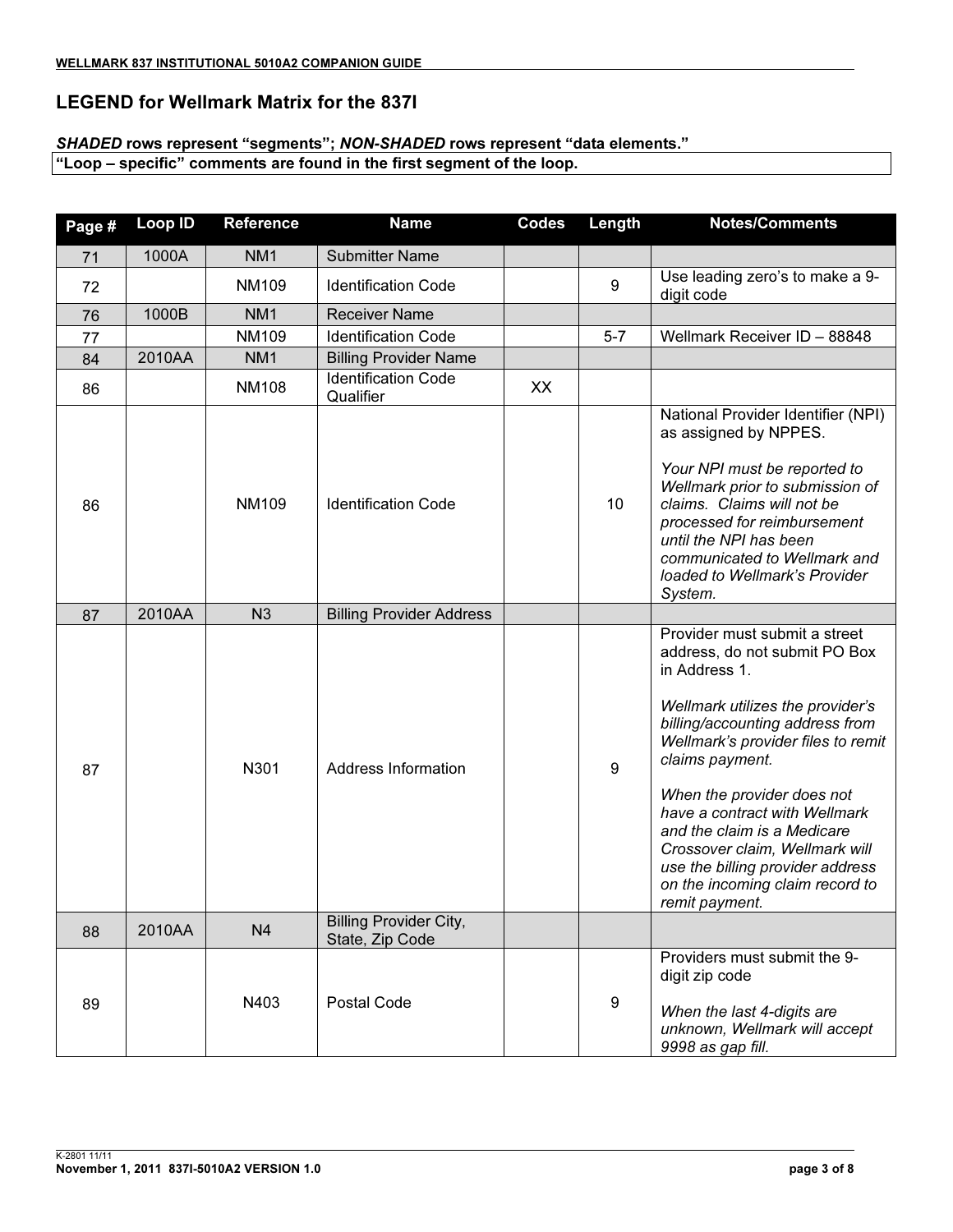#### LEGEND for Wellmark Matrix for the 837I

#### SHADED rows represent "segments"; NON-SHADED rows represent "data elements."

"Loop – specific" comments are found in the first segment of the loop.

| Page # | <b>Loop ID</b> | <b>Reference</b> | <b>Name</b>                                      | <b>Codes</b> | Length  | <b>Notes/Comments</b>                                                                                                                                                                                                                                                                                                                                                                                                                    |
|--------|----------------|------------------|--------------------------------------------------|--------------|---------|------------------------------------------------------------------------------------------------------------------------------------------------------------------------------------------------------------------------------------------------------------------------------------------------------------------------------------------------------------------------------------------------------------------------------------------|
| 71     | 1000A          | NM <sub>1</sub>  | <b>Submitter Name</b>                            |              |         |                                                                                                                                                                                                                                                                                                                                                                                                                                          |
| 72     |                | <b>NM109</b>     | <b>Identification Code</b>                       |              | 9       | Use leading zero's to make a 9-<br>digit code                                                                                                                                                                                                                                                                                                                                                                                            |
| 76     | 1000B          | NM <sub>1</sub>  | <b>Receiver Name</b>                             |              |         |                                                                                                                                                                                                                                                                                                                                                                                                                                          |
| 77     |                | NM109            | <b>Identification Code</b>                       |              | $5 - 7$ | Wellmark Receiver ID - 88848                                                                                                                                                                                                                                                                                                                                                                                                             |
| 84     | 2010AA         | NM <sub>1</sub>  | <b>Billing Provider Name</b>                     |              |         |                                                                                                                                                                                                                                                                                                                                                                                                                                          |
| 86     |                | <b>NM108</b>     | <b>Identification Code</b><br>Qualifier          | XX           |         |                                                                                                                                                                                                                                                                                                                                                                                                                                          |
| 86     |                | <b>NM109</b>     | <b>Identification Code</b>                       |              | 10      | National Provider Identifier (NPI)<br>as assigned by NPPES.<br>Your NPI must be reported to<br>Wellmark prior to submission of<br>claims. Claims will not be<br>processed for reimbursement<br>until the NPI has been<br>communicated to Wellmark and<br>loaded to Wellmark's Provider<br>System.                                                                                                                                        |
| 87     | 2010AA         | N <sub>3</sub>   | <b>Billing Provider Address</b>                  |              |         |                                                                                                                                                                                                                                                                                                                                                                                                                                          |
| 87     |                | N301             | Address Information                              |              | $9\,$   | Provider must submit a street<br>address, do not submit PO Box<br>in Address 1.<br>Wellmark utilizes the provider's<br>billing/accounting address from<br>Wellmark's provider files to remit<br>claims payment.<br>When the provider does not<br>have a contract with Wellmark<br>and the claim is a Medicare<br>Crossover claim, Wellmark will<br>use the billing provider address<br>on the incoming claim record to<br>remit payment. |
| 88     | 2010AA         | N <sub>4</sub>   | <b>Billing Provider City,</b><br>State, Zip Code |              |         |                                                                                                                                                                                                                                                                                                                                                                                                                                          |
| 89     |                | N403             | Postal Code                                      |              | 9       | Providers must submit the 9-<br>digit zip code<br>When the last 4-digits are<br>unknown, Wellmark will accept<br>9998 as gap fill.                                                                                                                                                                                                                                                                                                       |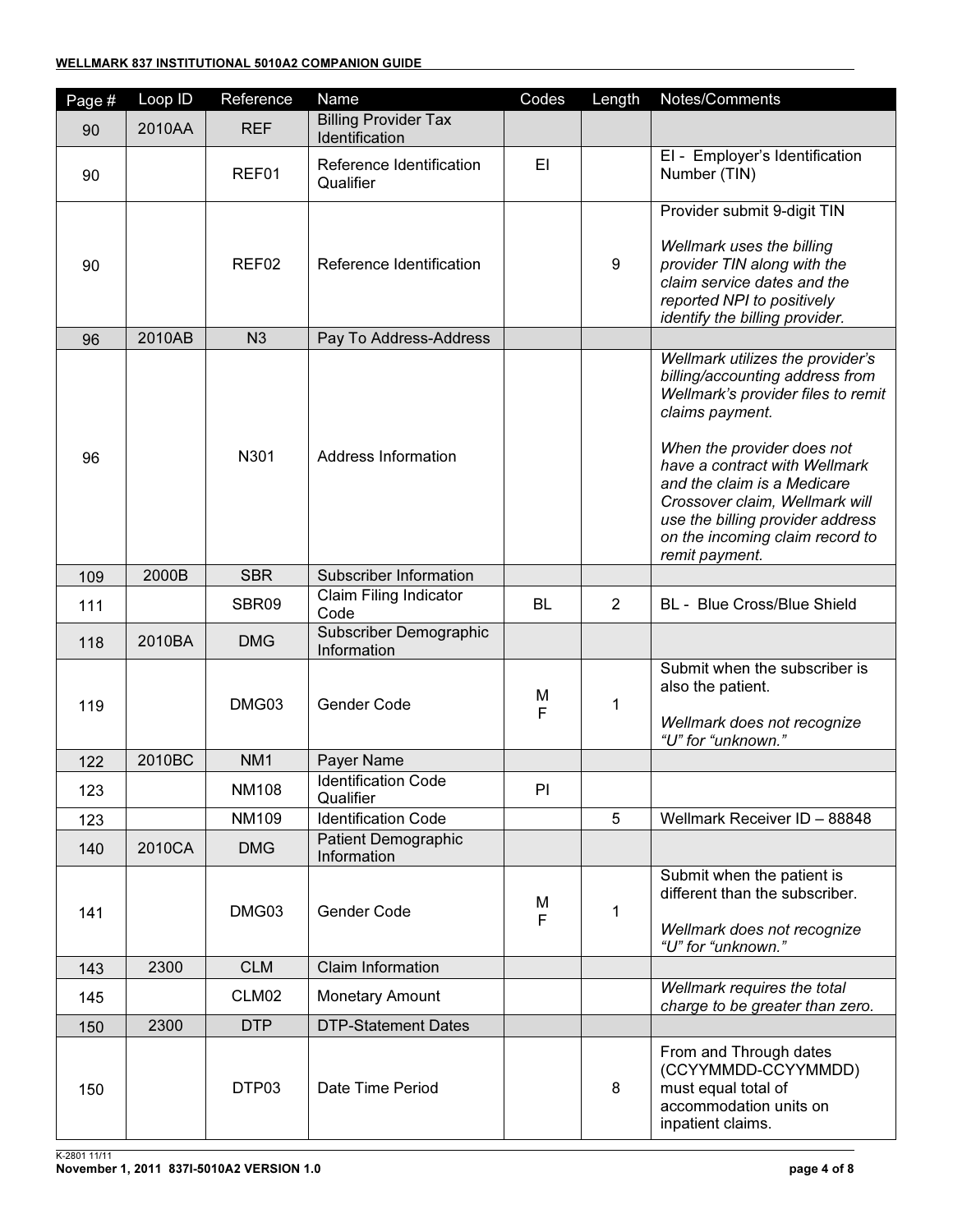| Page # | Loop ID | Reference       | Name                                          | Codes     | Length           | Notes/Comments                                                                                                                                                                                                                                                                                                                                        |
|--------|---------|-----------------|-----------------------------------------------|-----------|------------------|-------------------------------------------------------------------------------------------------------------------------------------------------------------------------------------------------------------------------------------------------------------------------------------------------------------------------------------------------------|
| 90     | 2010AA  | <b>REF</b>      | <b>Billing Provider Tax</b><br>Identification |           |                  |                                                                                                                                                                                                                                                                                                                                                       |
| 90     |         | REF01           | Reference Identification<br>Qualifier         | EI        |                  | El - Employer's Identification<br>Number (TIN)                                                                                                                                                                                                                                                                                                        |
| 90     |         | REF02           | Reference Identification                      |           | $\boldsymbol{9}$ | Provider submit 9-digit TIN<br>Wellmark uses the billing<br>provider TIN along with the<br>claim service dates and the<br>reported NPI to positively<br>identify the billing provider.                                                                                                                                                                |
| 96     | 2010AB  | N <sub>3</sub>  | Pay To Address-Address                        |           |                  |                                                                                                                                                                                                                                                                                                                                                       |
| 96     |         | N301            | Address Information                           |           |                  | Wellmark utilizes the provider's<br>billing/accounting address from<br>Wellmark's provider files to remit<br>claims payment.<br>When the provider does not<br>have a contract with Wellmark<br>and the claim is a Medicare<br>Crossover claim, Wellmark will<br>use the billing provider address<br>on the incoming claim record to<br>remit payment. |
| 109    | 2000B   | <b>SBR</b>      | Subscriber Information                        |           |                  |                                                                                                                                                                                                                                                                                                                                                       |
| 111    |         | SBR09           | Claim Filing Indicator<br>Code                | <b>BL</b> | $\overline{2}$   | BL - Blue Cross/Blue Shield                                                                                                                                                                                                                                                                                                                           |
| 118    | 2010BA  | <b>DMG</b>      | Subscriber Demographic<br>Information         |           |                  |                                                                                                                                                                                                                                                                                                                                                       |
| 119    |         | DMG03           | Gender Code                                   | M<br>F    | 1                | Submit when the subscriber is<br>also the patient.<br>Wellmark does not recognize<br>"U" for "unknown."                                                                                                                                                                                                                                               |
| 122    | 2010BC  | NM <sub>1</sub> | Payer Name                                    |           |                  |                                                                                                                                                                                                                                                                                                                                                       |
| 123    |         | <b>NM108</b>    | <b>Identification Code</b><br>Qualifier       | PI        |                  |                                                                                                                                                                                                                                                                                                                                                       |
| 123    |         | <b>NM109</b>    | <b>Identification Code</b>                    |           | 5                | Wellmark Receiver ID - 88848                                                                                                                                                                                                                                                                                                                          |
| 140    | 2010CA  | <b>DMG</b>      | <b>Patient Demographic</b><br>Information     |           |                  |                                                                                                                                                                                                                                                                                                                                                       |
| 141    |         | DMG03           | Gender Code                                   | M<br>F    | 1                | Submit when the patient is<br>different than the subscriber.<br>Wellmark does not recognize<br>"U" for "unknown."                                                                                                                                                                                                                                     |
| 143    | 2300    | <b>CLM</b>      | Claim Information                             |           |                  |                                                                                                                                                                                                                                                                                                                                                       |
| 145    |         | CLM02           | <b>Monetary Amount</b>                        |           |                  | Wellmark requires the total<br>charge to be greater than zero.                                                                                                                                                                                                                                                                                        |
| 150    | 2300    | <b>DTP</b>      | <b>DTP-Statement Dates</b>                    |           |                  |                                                                                                                                                                                                                                                                                                                                                       |
| 150    |         | DTP03           | Date Time Period                              |           | 8                | From and Through dates<br>(CCYYMMDD-CCYYMMDD)<br>must equal total of<br>accommodation units on<br>inpatient claims.                                                                                                                                                                                                                                   |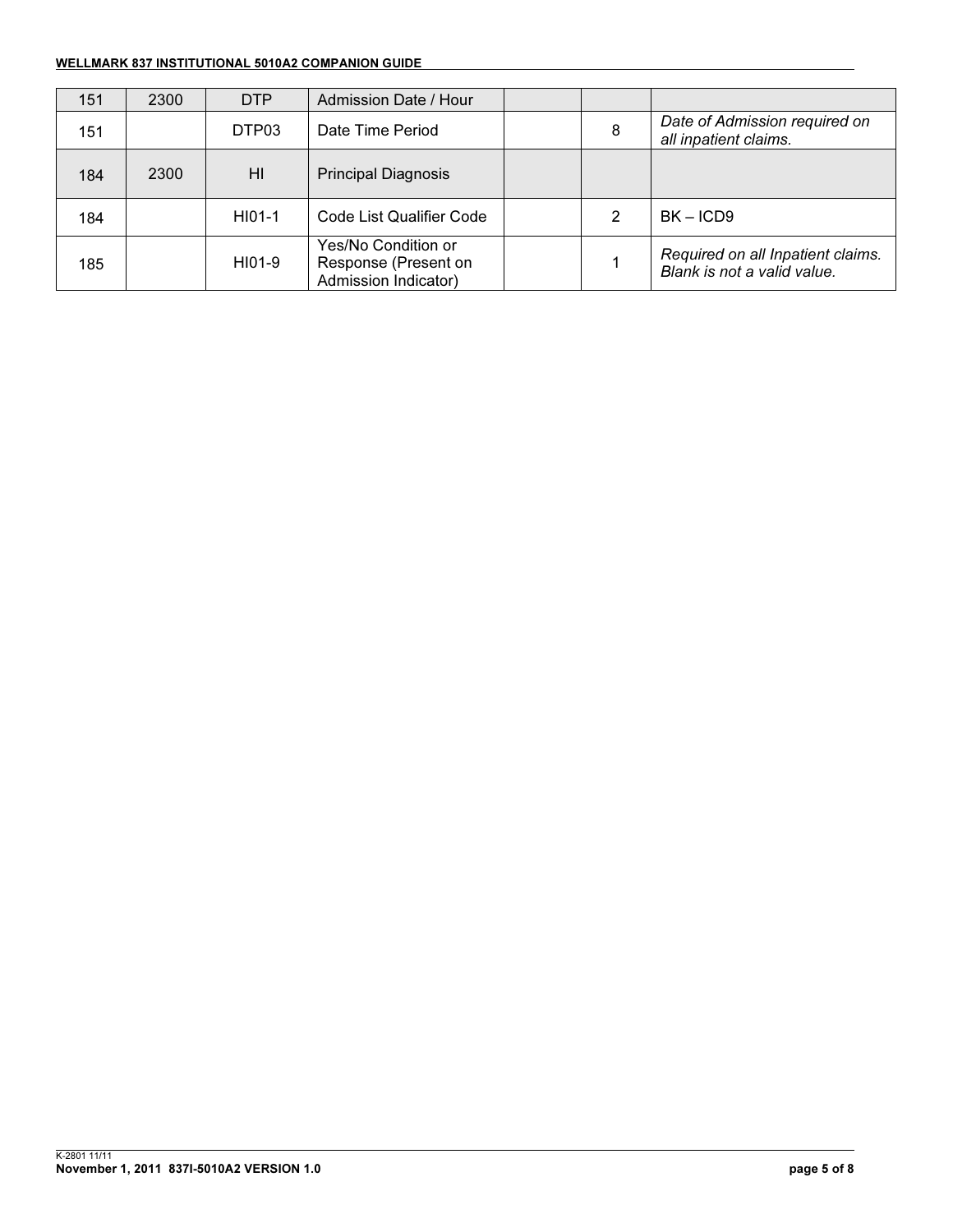#### WELLMARK 837 INSTITUTIONAL 5010A2 COMPANION GUIDE

| 151 | 2300 | <b>DTP</b> | Admission Date / Hour                                               |   |                                                                  |
|-----|------|------------|---------------------------------------------------------------------|---|------------------------------------------------------------------|
| 151 |      | DTP03      | Date Time Period                                                    | 8 | Date of Admission required on<br>all inpatient claims.           |
| 184 | 2300 | HI         | <b>Principal Diagnosis</b>                                          |   |                                                                  |
| 184 |      | HI01-1     | Code List Qualifier Code                                            |   | $BK - ICD9$                                                      |
| 185 |      | HI01-9     | Yes/No Condition or<br>Response (Present on<br>Admission Indicator) |   | Required on all Inpatient claims.<br>Blank is not a valid value. |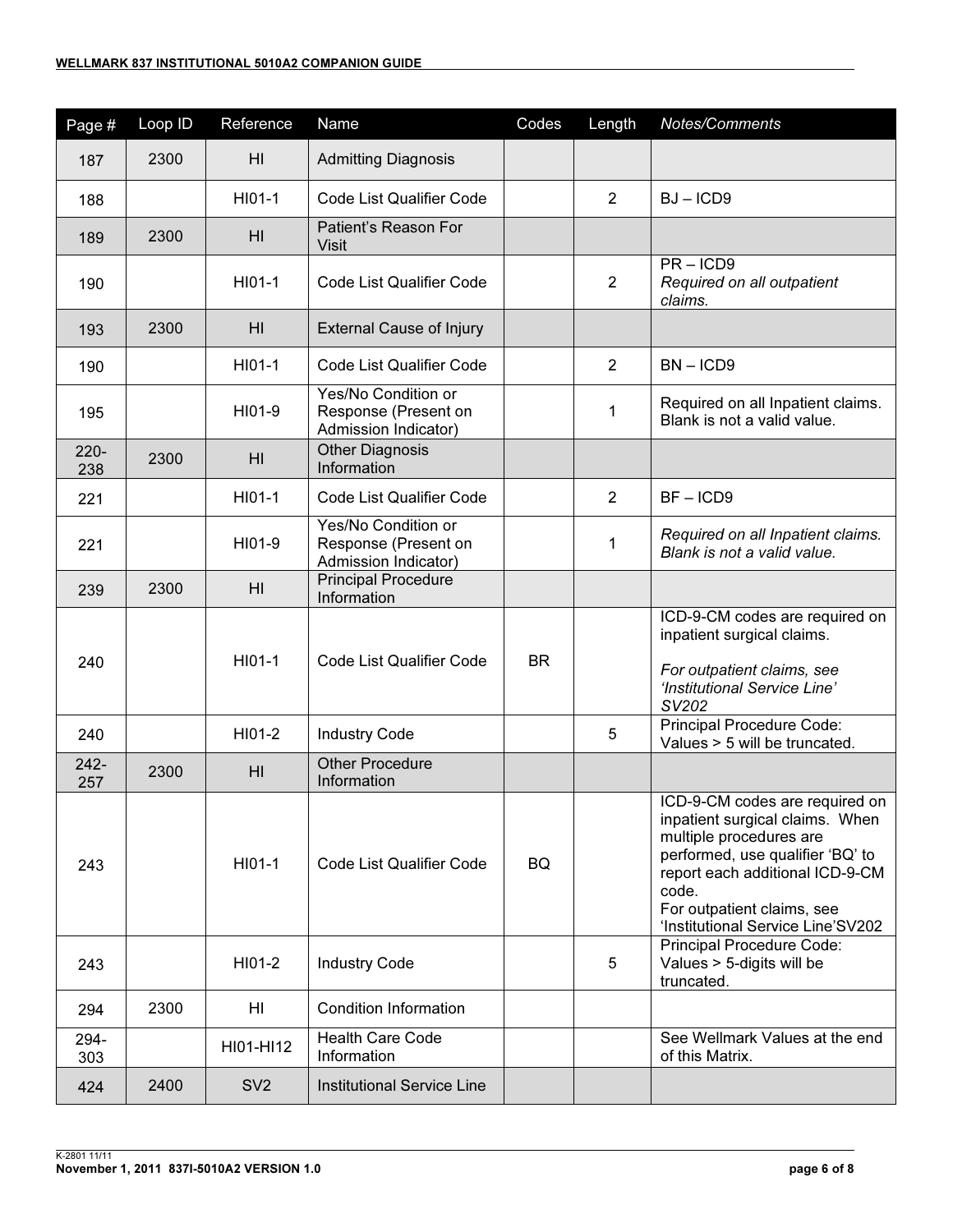| Page #         | Loop ID | Reference       | Name                                                                | Codes     | Length         | Notes/Comments                                                                                                                                                                                                                                  |
|----------------|---------|-----------------|---------------------------------------------------------------------|-----------|----------------|-------------------------------------------------------------------------------------------------------------------------------------------------------------------------------------------------------------------------------------------------|
| 187            | 2300    | H <sub>l</sub>  | <b>Admitting Diagnosis</b>                                          |           |                |                                                                                                                                                                                                                                                 |
| 188            |         | HI01-1          | <b>Code List Qualifier Code</b>                                     |           | 2              | $BJ - ICD9$                                                                                                                                                                                                                                     |
| 189            | 2300    | H <sub>l</sub>  | Patient's Reason For<br><b>Visit</b>                                |           |                |                                                                                                                                                                                                                                                 |
| 190            |         | HI01-1          | <b>Code List Qualifier Code</b>                                     |           | $\overline{2}$ | $PR - ICD9$<br>Required on all outpatient<br>claims.                                                                                                                                                                                            |
| 193            | 2300    | H <sub>l</sub>  | <b>External Cause of Injury</b>                                     |           |                |                                                                                                                                                                                                                                                 |
| 190            |         | HI01-1          | Code List Qualifier Code                                            |           | $\overline{2}$ | $BN - ICD9$                                                                                                                                                                                                                                     |
| 195            |         | HI01-9          | Yes/No Condition or<br>Response (Present on<br>Admission Indicator) |           | 1              | Required on all Inpatient claims.<br>Blank is not a valid value.                                                                                                                                                                                |
| $220 -$<br>238 | 2300    | H <sub>l</sub>  | <b>Other Diagnosis</b><br>Information                               |           |                |                                                                                                                                                                                                                                                 |
| 221            |         | HI01-1          | Code List Qualifier Code                                            |           | $\overline{2}$ | $BF - ICD9$                                                                                                                                                                                                                                     |
| 221            |         | HI01-9          | Yes/No Condition or<br>Response (Present on<br>Admission Indicator) |           | $\mathbf 1$    | Required on all Inpatient claims.<br>Blank is not a valid value.                                                                                                                                                                                |
| 239            | 2300    | H <sub>l</sub>  | <b>Principal Procedure</b><br>Information                           |           |                |                                                                                                                                                                                                                                                 |
| 240            |         | HI01-1          | Code List Qualifier Code                                            | <b>BR</b> |                | ICD-9-CM codes are required on<br>inpatient surgical claims.<br>For outpatient claims, see<br>'Institutional Service Line'<br>SV202                                                                                                             |
| 240            |         | HI01-2          | <b>Industry Code</b>                                                |           | 5              | Principal Procedure Code:<br>Values > 5 will be truncated.                                                                                                                                                                                      |
| $242 -$<br>257 | 2300    | HI              | <b>Other Procedure</b><br>Information                               |           |                |                                                                                                                                                                                                                                                 |
| 243            |         | HI01-1          | Code List Qualifier Code                                            | BQ        |                | ICD-9-CM codes are required on<br>inpatient surgical claims. When<br>multiple procedures are<br>performed, use qualifier 'BQ' to<br>report each additional ICD-9-CM<br>code.<br>For outpatient claims, see<br>'Institutional Service Line'SV202 |
| 243            |         | HI01-2          | <b>Industry Code</b>                                                |           | 5              | Principal Procedure Code:<br>Values > 5-digits will be<br>truncated.                                                                                                                                                                            |
| 294            | 2300    | HI              | <b>Condition Information</b>                                        |           |                |                                                                                                                                                                                                                                                 |
| 294-<br>303    |         | HI01-HI12       | <b>Health Care Code</b><br>Information                              |           |                | See Wellmark Values at the end<br>of this Matrix.                                                                                                                                                                                               |
| 424            | 2400    | SV <sub>2</sub> | <b>Institutional Service Line</b>                                   |           |                |                                                                                                                                                                                                                                                 |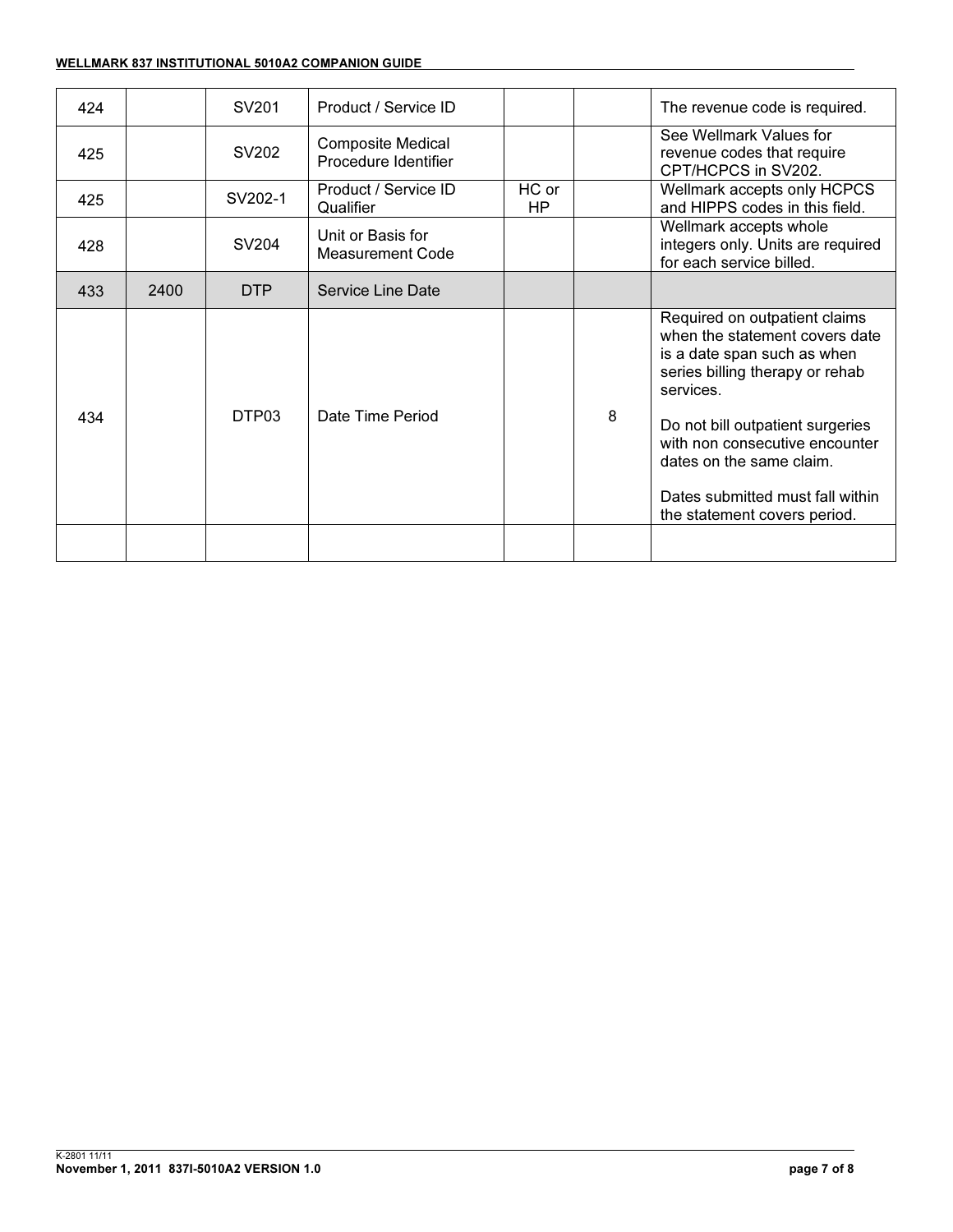#### WELLMARK 837 INSTITUTIONAL 5010A2 COMPANION GUIDE

| 424 |      | SV201             | Product / Service ID                             |                    |   | The revenue code is required.                                                                                                                                                                                                                                                                                        |
|-----|------|-------------------|--------------------------------------------------|--------------------|---|----------------------------------------------------------------------------------------------------------------------------------------------------------------------------------------------------------------------------------------------------------------------------------------------------------------------|
| 425 |      | SV202             | <b>Composite Medical</b><br>Procedure Identifier |                    |   | See Wellmark Values for<br>revenue codes that require<br>CPT/HCPCS in SV202.                                                                                                                                                                                                                                         |
| 425 |      | SV202-1           | Product / Service ID<br>Qualifier                | HC or<br><b>HP</b> |   | Wellmark accepts only HCPCS<br>and HIPPS codes in this field.                                                                                                                                                                                                                                                        |
| 428 |      | SV204             | Unit or Basis for<br>Measurement Code            |                    |   | Wellmark accepts whole<br>integers only. Units are required<br>for each service billed.                                                                                                                                                                                                                              |
| 433 | 2400 | <b>DTP</b>        | Service Line Date                                |                    |   |                                                                                                                                                                                                                                                                                                                      |
| 434 |      | DTP <sub>03</sub> | Date Time Period                                 |                    | 8 | Required on outpatient claims<br>when the statement covers date<br>is a date span such as when<br>series billing therapy or rehab<br>services.<br>Do not bill outpatient surgeries<br>with non consecutive encounter<br>dates on the same claim.<br>Dates submitted must fall within<br>the statement covers period. |
|     |      |                   |                                                  |                    |   |                                                                                                                                                                                                                                                                                                                      |